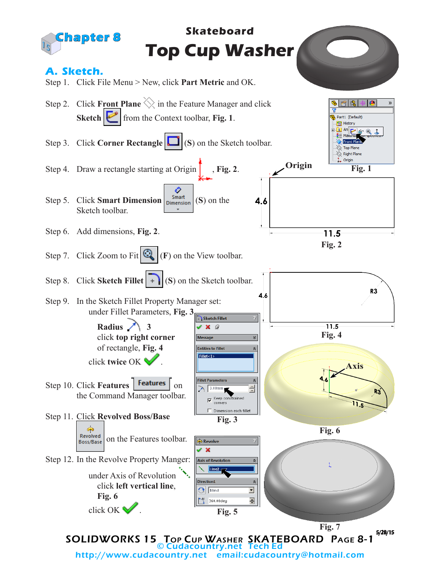

http://www.cudacountry.net email:cudacountry@hotmail.com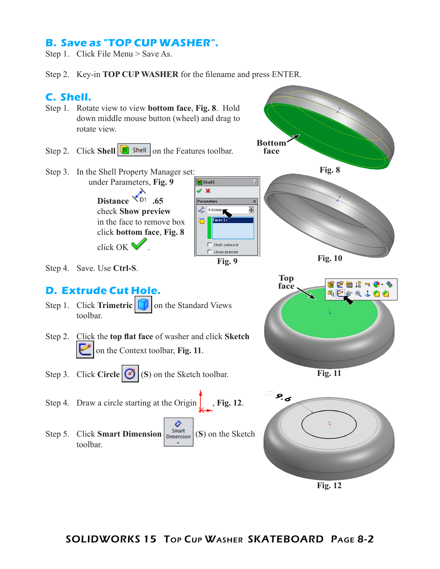## **B. Save as "TOP CUP WASHER".**

Step 1. Click File Menu > Save As.

Step 2. Key-in **TOP CUP WASHER** for the filename and press ENTER.



- Step 1. Rotate view to view **bottom face**, **Fig. 8**. Hold down middle mouse button (wheel) and drag to rotate view.
- Step 2. Click **Shell C** shell on the Features toolbar.
- Step 3. In the Shell Property Manager set: under Parameters, **Fig. 9**  $\sqrt{2}$  Shell1  $\mathscr{L}$   $\mathbb{X}$

**Distance \*D1** .65 check **Show preview** in the face to remove box click **bottom face**, **Fig. 8** click OK .



Shell outward

Parameters

 $\sum_{D1}$  0.65mm  $Face < 1$ 

**Bottom face**

 $\overline{\lambda}$ 츾



## **D. Extrude Cut Hole.**

- Step 1. Click **Trimetric on** the Standard Views toolbar.
- Step 2. Click the **top flat face** of washer and click **Sketch** on the Context toolbar, **Fig. 11**.
- Step 3. Click **Circle 6** (**S**) on the Sketch toolbar.
- Step 4. Draw a circle starting at the Origin  $\int$ , **Fig. 12**.
- ♦ Step 5. Click **Smart Dimension**  $\left| \frac{S_{\text{mart}}}{D_{\text{IMenision}}}\right|$  (**S**) on the Sketch toolbar.



**Fig. 10**

**Fig. 8**